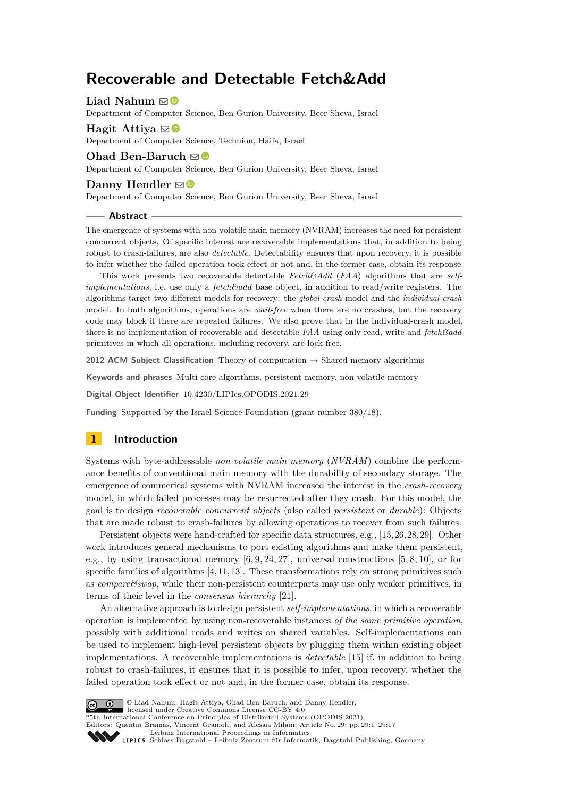# **Recoverable and Detectable Fetch&Add**

**Liad Nahum**  $\boxtimes$ 

Department of Computer Science, Ben Gurion University, Beer Sheva, Israel

**Hagit Attiva**  $\mathbf{\Theta}$ Department of Computer Science, Technion, Haifa, Israel

## **Ohad Ben-Baruch** ⊠<sup>®</sup>

Department of Computer Science, Ben Gurion University, Beer Sheva, Israel

## **Danny Hendler**  $\mathbf{\mathbb{D}}$

Department of Computer Science, Ben Gurion University, Beer Sheva, Israel

#### **Abstract**

The emergence of systems with non-volatile main memory (NVRAM) increases the need for persistent concurrent objects. Of specific interest are recoverable implementations that, in addition to being robust to crash-failures, are also *detectable*. Detectability ensures that upon recovery, it is possible to infer whether the failed operation took effect or not and, in the former case, obtain its response.

This work presents two recoverable detectable *Fetch&Add* (*FAA*) algorithms that are *selfimplementations*, i.e. use only a *fetch&add* base object, in addition to read/write registers. The algorithms target two different models for recovery: the *global-crash* model and the *individual-crash* model. In both algorithms, operations are *wait-free* when there are no crashes, but the recovery code may block if there are repeated failures. We also prove that in the individual-crash model, there is no implementation of recoverable and detectable *FAA* using only read, write and *fetch&add* primitives in which all operations, including recovery, are lock-free.

**2012 ACM Subject Classification** Theory of computation → Shared memory algorithms

**Keywords and phrases** Multi-core algorithms, persistent memory, non-volatile memory

**Digital Object Identifier** [10.4230/LIPIcs.OPODIS.2021.29](https://doi.org/10.4230/LIPIcs.OPODIS.2021.29)

**Funding** Supported by the Israel Science Foundation (grant number 380/18).

# **1 Introduction**

Systems with byte-addressable *non-volatile main memory* (*NVRAM*) combine the performance benefits of conventional main memory with the durability of secondary storage. The emergence of commerical systems with NVRAM increased the interest in the *crash-recovery* model, in which failed processes may be resurrected after they crash. For this model, the goal is to design *recoverable concurrent objects* (also called *persistent* or *durable*): Objects that are made robust to crash-failures by allowing operations to recover from such failures.

Persistent objects were hand-crafted for specific data structures, e.g., [\[15,](#page-14-0)[26,](#page-15-0)[28,](#page-15-1)[29\]](#page-15-2). Other work introduces general mechanisms to port existing algorithms and make them persistent, e.g., by using transactional memory  $[6, 9, 24, 27]$  $[6, 9, 24, 27]$  $[6, 9, 24, 27]$  $[6, 9, 24, 27]$ , universal constructions  $[5, 8, 10]$  $[5, 8, 10]$  $[5, 8, 10]$ , or for specific families of algorithms  $[4, 11, 13]$  $[4, 11, 13]$  $[4, 11, 13]$ . These transformations rely on strong primitives such as *compare&swap*, while their non-persistent counterparts may use only weaker primitives, in terms of their level in the *consensus hierarchy* [\[21\]](#page-15-5).

An alternative approach is to design persistent *self-implementations*, in which a recoverable operation is implemented by using non-recoverable instances *of the same primitive operation*, possibly with additional reads and writes on shared variables. Self-implementations can be used to implement high-level persistent objects by plugging them within existing object implementations. A recoverable implementations is *detectable* [\[15\]](#page-14-0) if, in addition to being robust to crash-failures, it ensures that it is possible to infer, upon recovery, whether the failed operation took effect or not and, in the former case, obtain its response.



© Liad Nahum, Hagit Attiya, Ohad Ben-Baruch, and Danny Hendler;

licensed under Creative Commons License CC-BY 4.0 25th International Conference on Principles of Distributed Systems (OPODIS 2021).

Editors: Quentin Bramas, Vincent Gramoli, and Alessia Milani; Article No. 29; pp. 29:1–29:17

[Leibniz International Proceedings in Informatics](https://www.dagstuhl.de/lipics/)

[Schloss Dagstuhl – Leibniz-Zentrum für Informatik, Dagstuhl Publishing, Germany](https://www.dagstuhl.de)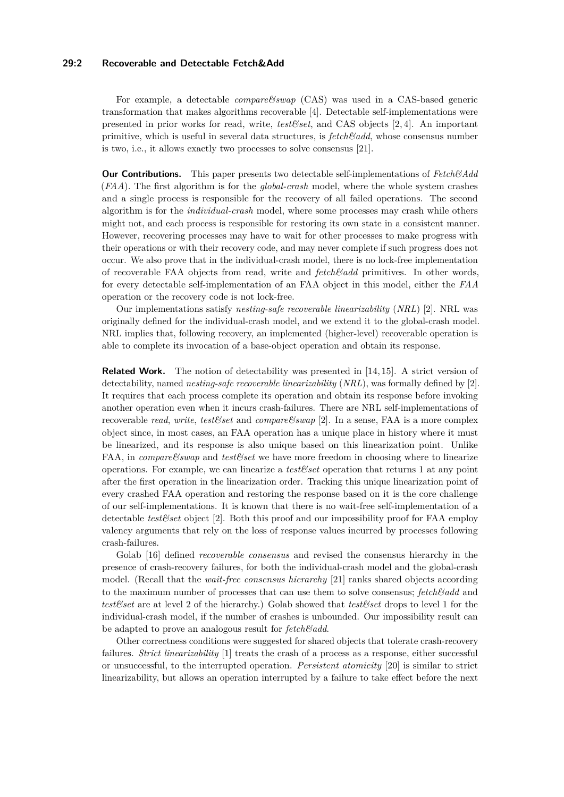## **29:2 Recoverable and Detectable Fetch&Add**

For example, a detectable *compare&swap* (CAS) was used in a CAS-based generic transformation that makes algorithms recoverable [\[4\]](#page-14-6). Detectable self-implementations were presented in prior works for read, write, *test&set*, and CAS objects [\[2,](#page-14-9) [4\]](#page-14-6). An important primitive, which is useful in several data structures, is *fetch&add*, whose consensus number is two, i.e., it allows exactly two processes to solve consensus [\[21\]](#page-15-5).

**Our Contributions.** This paper presents two detectable self-implementations of *Fetch&Add* (*FAA*). The first algorithm is for the *global-crash* model, where the whole system crashes and a single process is responsible for the recovery of all failed operations. The second algorithm is for the *individual-crash* model, where some processes may crash while others might not, and each process is responsible for restoring its own state in a consistent manner. However, recovering processes may have to wait for other processes to make progress with their operations or with their recovery code, and may never complete if such progress does not occur. We also prove that in the individual-crash model, there is no lock-free implementation of recoverable FAA objects from read, write and *fetch&add* primitives. In other words, for every detectable self-implementation of an FAA object in this model, either the *FAA* operation or the recovery code is not lock-free.

Our implementations satisfy *nesting-safe recoverable linearizability* (*NRL*) [\[2\]](#page-14-9). NRL was originally defined for the individual-crash model, and we extend it to the global-crash model. NRL implies that, following recovery, an implemented (higher-level) recoverable operation is able to complete its invocation of a base-object operation and obtain its response.

**Related Work.** The notion of detectability was presented in [\[14,](#page-14-10) [15\]](#page-14-0). A strict version of detectability, named *nesting-safe recoverable linearizability* (*NRL*), was formally defined by [\[2\]](#page-14-9). It requires that each process complete its operation and obtain its response before invoking another operation even when it incurs crash-failures. There are NRL self-implementations of recoverable *read*, *write*, *test&set* and *compare&swap* [\[2\]](#page-14-9). In a sense, FAA is a more complex object since, in most cases, an FAA operation has a unique place in history where it must be linearized, and its response is also unique based on this linearization point. Unlike FAA, in *compare&swap* and *test&set* we have more freedom in choosing where to linearize operations. For example, we can linearize a *test&set* operation that returns 1 at any point after the first operation in the linearization order. Tracking this unique linearization point of every crashed FAA operation and restoring the response based on it is the core challenge of our self-implementations. It is known that there is no wait-free self-implementation of a detectable *test&set* object [\[2\]](#page-14-9). Both this proof and our impossibility proof for FAA employ valency arguments that rely on the loss of response values incurred by processes following crash-failures.

Golab [\[16\]](#page-14-11) defined *recoverable consensus* and revised the consensus hierarchy in the presence of crash-recovery failures, for both the individual-crash model and the global-crash model. (Recall that the *wait-free consensus hierarchy* [\[21\]](#page-15-5) ranks shared objects according to the maximum number of processes that can use them to solve consensus; *fetch&add* and *test&set* are at level 2 of the hierarchy.) Golab showed that *test&set* drops to level 1 for the individual-crash model, if the number of crashes is unbounded. Our impossibility result can be adapted to prove an analogous result for *fetch&add*.

Other correctness conditions were suggested for shared objects that tolerate crash-recovery failures. *Strict linearizability* [\[1\]](#page-14-12) treats the crash of a process as a response, either successful or unsuccessful, to the interrupted operation. *Persistent atomicity* [\[20\]](#page-15-6) is similar to strict linearizability, but allows an operation interrupted by a failure to take effect before the next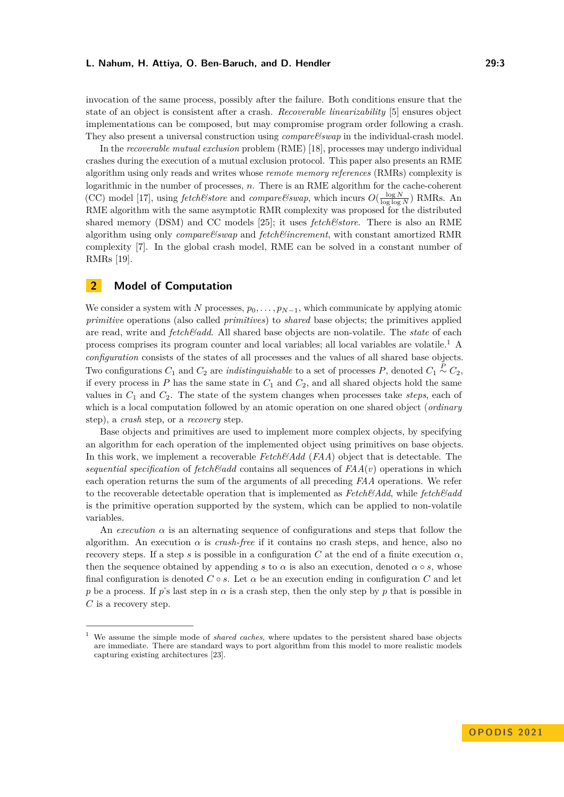invocation of the same process, possibly after the failure. Both conditions ensure that the state of an object is consistent after a crash. *Recoverable linearizability* [\[5\]](#page-14-3) ensures object implementations can be composed, but may compromise program order following a crash. They also present a universal construction using *compare&swap* in the individual-crash model.

In the *recoverable mutual exclusion* problem (RME) [\[18\]](#page-15-7), processes may undergo individual crashes during the execution of a mutual exclusion protocol. This paper also presents an RME algorithm using only reads and writes whose *remote memory references* (RMRs) complexity is logarithmic in the number of processes, *n*. There is an RME algorithm for the cache-coherent (CC) model [\[17\]](#page-14-13), using *fetch&store* and *compare&swap*, which incurs  $O(\frac{\log N}{\log \log N})$  RMRs. An RME algorithm with the same asymptotic RMR complexity was proposed for the distributed shared memory (DSM) and CC models [\[25\]](#page-15-8); it uses *fetch&store*. There is also an RME algorithm using only *compare&swap* and *fetch&increment*, with constant amortized RMR complexity [\[7\]](#page-14-14). In the global crash model, RME can be solved in a constant number of RMRs [\[19\]](#page-15-9).

# **2 Model of Computation**

We consider a system with *N* processes,  $p_0, \ldots, p_{N-1}$ , which communicate by applying atomic *primitive* operations (also called *primitives*) to *shared* base objects; the primitives applied are read, write and *fetch&add*. All shared base objects are non-volatile. The *state* of each process comprises its program counter and local variables; all local variables are volatile.[1](#page-2-0) A *configuration* consists of the states of all processes and the values of all shared base objects. Two configurations  $C_1$  and  $C_2$  are *indistinguishable* to a set of processes  $P$ , denoted  $C_1 \stackrel{P}{\sim} C_2$ , if every process in  $P$  has the same state in  $C_1$  and  $C_2$ , and all shared objects hold the same values in  $C_1$  and  $C_2$ . The state of the system changes when processes take *steps*, each of which is a local computation followed by an atomic operation on one shared object (*ordinary* step), a *crash* step, or a *recovery* step.

Base objects and primitives are used to implement more complex objects, by specifying an algorithm for each operation of the implemented object using primitives on base objects. In this work, we implement a recoverable *Fetch&Add* (*FAA*) object that is detectable. The *sequential specification* of  $fetch\mathscr{B}add$  contains all sequences of  $FAA(v)$  operations in which each operation returns the sum of the arguments of all preceding *FAA* operations. We refer to the recoverable detectable operation that is implemented as *Fetch&Add*, while *fetch&add* is the primitive operation supported by the system, which can be applied to non-volatile variables.

An *execution*  $\alpha$  is an alternating sequence of configurations and steps that follow the algorithm. An execution  $\alpha$  is *crash-free* if it contains no crash steps, and hence, also no recovery steps. If a step *s* is possible in a configuration *C* at the end of a finite execution *α*, then the sequence obtained by appending *s* to  $\alpha$  is also an execution, denoted  $\alpha \circ s$ , whose final configuration is denoted  $C \circ s$ . Let  $\alpha$  be an execution ending in configuration  $C$  and let *p* be a process. If *p*'s last step in  $\alpha$  is a crash step, then the only step by *p* that is possible in *C* is a recovery step.

<span id="page-2-0"></span><sup>1</sup> We assume the simple mode of *shared caches*, where updates to the persistent shared base objects are immediate. There are standard ways to port algorithm from this model to more realistic models capturing existing architectures [\[23\]](#page-15-10).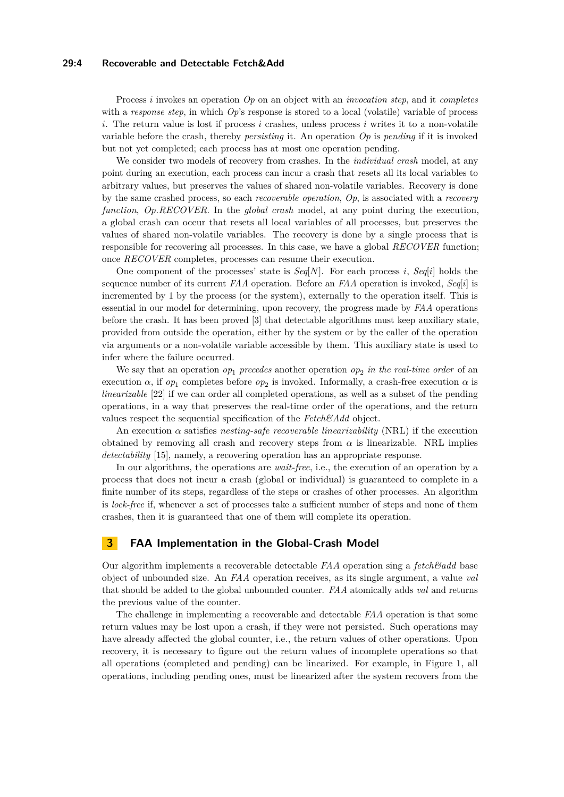## **29:4 Recoverable and Detectable Fetch&Add**

Process *i* invokes an operation *Op* on an object with an *invocation step*, and it *completes* with a *response step*, in which  $Op$ 's response is stored to a local (volatile) variable of process *i*. The return value is lost if process *i* crashes, unless process *i* writes it to a non-volatile variable before the crash, thereby *persisting* it. An operation *Op* is *pending* if it is invoked but not yet completed; each process has at most one operation pending.

We consider two models of recovery from crashes. In the *individual crash* model, at any point during an execution, each process can incur a crash that resets all its local variables to arbitrary values, but preserves the values of shared non-volatile variables. Recovery is done by the same crashed process, so each *recoverable operation*, *Op*, is associated with a *recovery function*, *Op.RECOVER*. In the *global crash* model, at any point during the execution, a global crash can occur that resets all local variables of all processes, but preserves the values of shared non-volatile variables. The recovery is done by a single process that is responsible for recovering all processes. In this case, we have a global *RECOVER* function; once *RECOVER* completes, processes can resume their execution.

One component of the processes' state is  $Seq[N]$ . For each process *i*,  $Seq[i]$  holds the sequence number of its current *FAA* operation. Before an *FAA* operation is invoked,  $Seq[i]$  is incremented by 1 by the process (or the system), externally to the operation itself. This is essential in our model for determining, upon recovery, the progress made by *FAA* operations before the crash. It has been proved [\[3\]](#page-14-15) that detectable algorithms must keep auxiliary state, provided from outside the operation, either by the system or by the caller of the operation via arguments or a non-volatile variable accessible by them. This auxiliary state is used to infer where the failure occurred.

We say that an operation  $op_1$  *precedes* another operation  $op_2$  *in the real-time order* of an execution  $\alpha$ , if  $op_1$  completes before  $op_2$  is invoked. Informally, a crash-free execution  $\alpha$  is *linearizable* [\[22\]](#page-15-11) if we can order all completed operations, as well as a subset of the pending operations, in a way that preserves the real-time order of the operations, and the return values respect the sequential specification of the *Fetch&Add* object.

An execution  $\alpha$  satisfies *nesting-safe recoverable linearizability* (NRL) if the execution obtained by removing all crash and recovery steps from  $\alpha$  is linearizable. NRL implies *detectability* [\[15\]](#page-14-0), namely, a recovering operation has an appropriate response.

In our algorithms, the operations are *wait-free*, i.e., the execution of an operation by a process that does not incur a crash (global or individual) is guaranteed to complete in a finite number of its steps, regardless of the steps or crashes of other processes. An algorithm is *lock-free* if, whenever a set of processes take a sufficient number of steps and none of them crashes, then it is guaranteed that one of them will complete its operation.

# **3 FAA Implementation in the Global-Crash Model**

Our algorithm implements a recoverable detectable  $FAA$  operation sing a  $fetch\mathscr{C}add$  base object of unbounded size. An *FAA* operation receives, as its single argument, a value *val* that should be added to the global unbounded counter. *FAA* atomically adds *val* and returns the previous value of the counter.

The challenge in implementing a recoverable and detectable *FAA* operation is that some return values may be lost upon a crash, if they were not persisted. Such operations may have already affected the global counter, i.e., the return values of other operations. Upon recovery, it is necessary to figure out the return values of incomplete operations so that all operations (completed and pending) can be linearized. For example, in Figure [1,](#page-4-0) all operations, including pending ones, must be linearized after the system recovers from the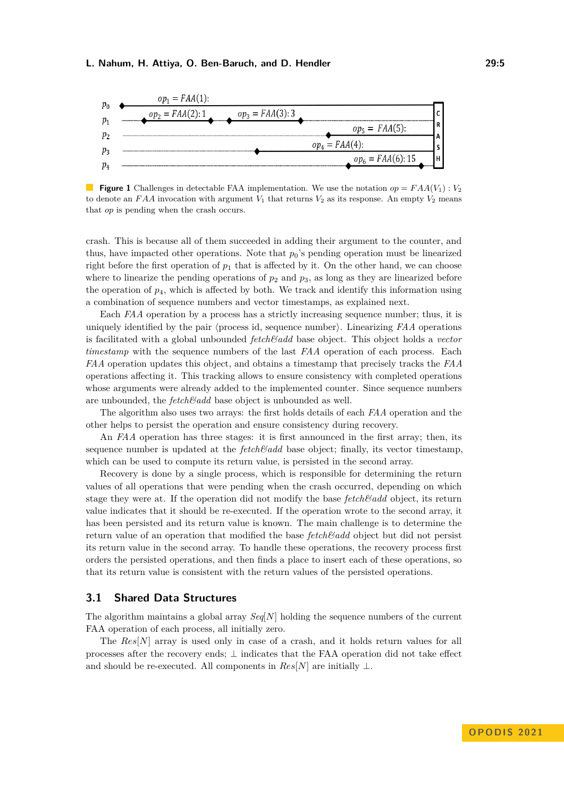<span id="page-4-0"></span>

**Figure 1** Challenges in detectable FAA implementation. We use the notation  $op = FAA(V_1): V_2$ to denote an  $FAA$  invocation with argument  $V_1$  that returns  $V_2$  as its response. An empty  $V_2$  means that *op* is pending when the crash occurs.

crash. This is because all of them succeeded in adding their argument to the counter, and thus, have impacted other operations. Note that  $p_0$ 's pending operation must be linearized right before the first operation of  $p_1$  that is affected by it. On the other hand, we can choose where to linearize the pending operations of  $p_2$  and  $p_3$ , as long as they are linearized before the operation of  $p_4$ , which is affected by both. We track and identify this information using a combination of sequence numbers and vector timestamps, as explained next.

Each *FAA* operation by a process has a strictly increasing sequence number; thus, it is uniquely identified by the pair ⟨process id, sequence number⟩. Linearizing *FAA* operations is facilitated with a global unbounded *fetch&add* base object. This object holds a *vector timestamp* with the sequence numbers of the last *FAA* operation of each process. Each *FAA* operation updates this object, and obtains a timestamp that precisely tracks the *FAA* operations affecting it. This tracking allows to ensure consistency with completed operations whose arguments were already added to the implemented counter. Since sequence numbers are unbounded, the *fetch&add* base object is unbounded as well.

The algorithm also uses two arrays: the first holds details of each *FAA* operation and the other helps to persist the operation and ensure consistency during recovery.

An *FAA* operation has three stages: it is first announced in the first array; then, its sequence number is updated at the *fetch&add* base object; finally, its vector timestamp, which can be used to compute its return value, is persisted in the second array.

Recovery is done by a single process, which is responsible for determining the return values of all operations that were pending when the crash occurred, depending on which stage they were at. If the operation did not modify the base *fetch&add* object, its return value indicates that it should be re-executed. If the operation wrote to the second array, it has been persisted and its return value is known. The main challenge is to determine the return value of an operation that modified the base *fetch&add* object but did not persist its return value in the second array. To handle these operations, the recovery process first orders the persisted operations, and then finds a place to insert each of these operations, so that its return value is consistent with the return values of the persisted operations.

## <span id="page-4-1"></span>**3.1 Shared Data Structures**

The algorithm maintains a global array *Seq*[*N*] holding the sequence numbers of the current FAA operation of each process, all initially zero.

The *Res*[*N*] array is used only in case of a crash, and it holds return values for all processes after the recovery ends; ⊥ indicates that the FAA operation did not take effect and should be re-executed. All components in  $Res[N]$  are initially  $\perp$ .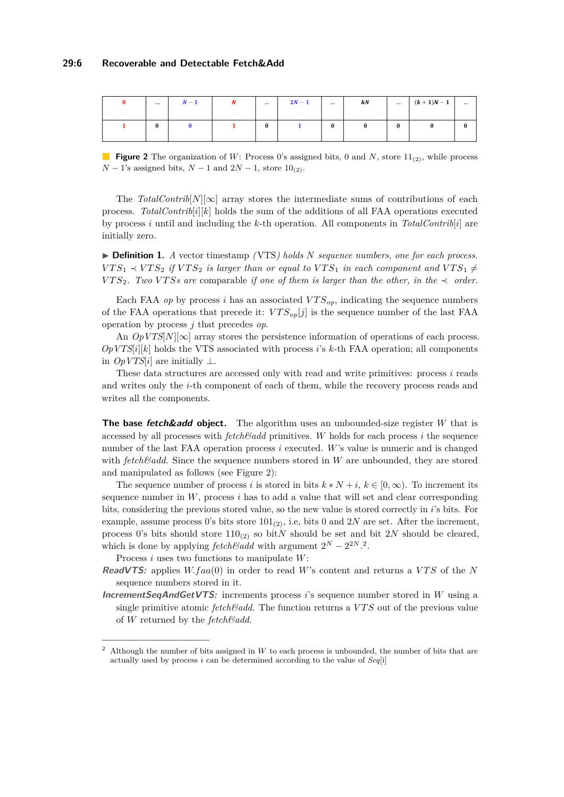<span id="page-5-0"></span>

| $\cdots$ | $N-1$ | <b>AT</b> | $\cdots$ | $2N-1$ | $\cdots$ | kN |   | $(k + 1)N - 1$ | $\cdots$ |
|----------|-------|-----------|----------|--------|----------|----|---|----------------|----------|
|          |       |           | $\bf{0}$ |        | 0        |    | 0 | 0              |          |

**Figure 2** The organization of W: Process 0's assigned bits, 0 and N, store  $11_{(2)}$ , while process  $N-1$ 's assigned bits,  $N-1$  and  $2N-1$ , store  $10_{(2)}$ .

The *TotalContrib*[ $N$ ][∞] array stores the intermediate sums of contributions of each process. *TotalContrib*[ $i$ ][ $k$ ] holds the sum of the additions of all FAA operations executed by process *i* until and including the *k*-th operation. All components in *TotalContrib*[*i*] are initially zero.

<span id="page-5-2"></span>▶ **Definition 1.** *A* vector timestamp *(*VTS*) holds N sequence numbers, one for each process.*  $VTS_1 \prec VTS_2$  *if*  $VTS_2$  *is larger than or equal to*  $VTS_1$  *in each component and*  $VTS_1 \neq VTS_2$ *VTS*<sub>2</sub>*. Two VTSs are* comparable *if one of them is larger than the other, in the*  $\prec$  *order.* 

Each FAA *op* by process *i* has an associated  $VTS_{op}$ , indicating the sequence numbers of the FAA operations that precede it:  $VTS_{op}[j]$  is the sequence number of the last FAA operation by process *j* that precedes *op*.

An  $OpVTS[N][\infty]$  array stores the persistence information of operations of each process.  $OpVTS[i][k]$  holds the VTS associated with process *i*'s *k*-th FAA operation; all components in  $OpVTS[i]$  are initially ⊥.

These data structures are accessed only with read and write primitives: process *i* reads and writes only the *i*-th component of each of them, while the recovery process reads and writes all the components.

**The base fetch&add object.** The algorithm uses an unbounded-size register *W* that is accessed by all processes with  $fetchEadd$  primitives. W holds for each process  $i$  the sequence number of the last FAA operation process *i* executed. *W*'s value is numeric and is changed with *fetch&add*. Since the sequence numbers stored in *W* are unbounded, they are stored and manipulated as follows (see Figure [2\)](#page-5-0):

The sequence number of process *i* is stored in bits  $k * N + i$ ,  $k \in [0, \infty)$ . To increment its sequence number in  $W$ , process  $i$  has to add a value that will set and clear corresponding bits, considering the previous stored value, so the new value is stored correctly in *i*'s bits. For example, assume process 0's bits store  $101_{(2)}$ , i.e, bits 0 and 2*N* are set. After the increment, process 0's bits should store  $110_{(2)}$  so bit*N* should be set and bit 2*N* should be cleared, which is done by applying *fetch&add* with argument  $2^N - 2^{2N}$  $2^N - 2^{2N}$ .<sup>2</sup>.

Process *i* uses two functions to manipulate *W*:

- **ReadVTS:** applies  $W$ .faa(0) in order to read W's content and returns a VTS of the N sequence numbers stored in it.
- **IncrementSeqAndGetVTS:** increments process *i*'s sequence number stored in *W* using a single primitive atomic *fetch&add*. The function returns a *V T S* out of the previous value of *W* returned by the *fetch&add*.

<span id="page-5-1"></span><sup>2</sup> Although the number of bits assigned in *W* to each process is unbounded, the number of bits that are actually used by process *i* can be determined according to the value of *Seq*[i]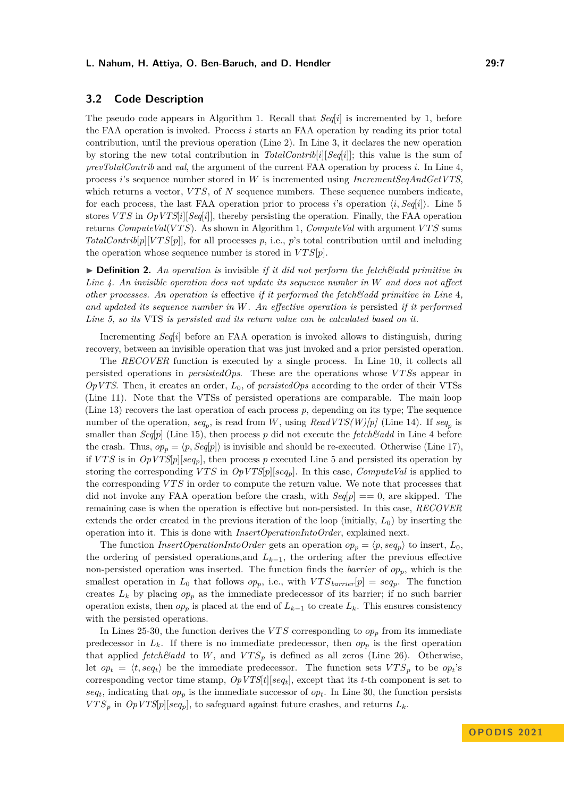## **3.2 Code Description**

The pseudo code appears in Algorithm [1.](#page-7-0) Recall that *Seq*[*i*] is incremented by 1, before the FAA operation is invoked. Process *i* starts an FAA operation by reading its prior total contribution, until the previous operation (Line [2\)](#page-7-0). In Line [3,](#page-7-0) it declares the new operation by storing the new total contribution in *TotalContrib*[*i*][*Seq*[*i*]]; this value is the sum of *prevTotalContrib* and *val*, the argument of the current FAA operation by process *i*. In Line [4,](#page-7-0) process *i*'s sequence number stored in *W* is incremented using *IncrementSeqAndGetVTS*, which returns a vector, *VTS*, of *N* sequence numbers. These sequence numbers indicate, for each process, the last FAA operation prior to process *i*'s operation  $\langle i, Seq[i] \rangle$ . Line [5](#page-7-0) stores *V T S* in *OpVTS*[*i*][*Seq*[*i*]], thereby persisting the operation. Finally, the FAA operation returns *ComputeVal*(*V T S*). As shown in Algorithm [1,](#page-7-0) *ComputeVal* with argument *V T S* sums *TotalContrib*[ $p$ ][ $VTS[p]$ ], for all processes  $p$ , i.e.,  $p$ 's total contribution until and including the operation whose sequence number is stored in  $VTS[p]$ .

▶ **Definition 2.** An operation is invisible *if it did not perform the fetch & add primitive in Line [4.](#page-7-0) An invisible operation does not update its sequence number in W and does not affect other processes. An operation is* effective *if it performed the fetch&add primitive in Line* [4](#page-7-0)*, and updated its sequence number in W. An effective operation is* persisted *if it performed Line [5,](#page-7-0) so its* VTS *is persisted and its return value can be calculated based on it.*

Incrementing *Seq*[*i*] before an FAA operation is invoked allows to distinguish, during recovery, between an invisible operation that was just invoked and a prior persisted operation.

The *RECOVER* function is executed by a single process. In Line [10,](#page-7-0) it collects all persisted operations in *persistedOps*. These are the operations whose *V T S*s appear in *OpVTS*. Then, it creates an order, *L*0, of *persistedOps* according to the order of their VTSs (Line [11\)](#page-7-0). Note that the VTSs of persisted operations are comparable. The main loop (Line [13\)](#page-7-0) recovers the last operation of each process *p*, depending on its type; The sequence number of the operation,  $seq_p$ , is read from *W*, using  $ReadVTS(W)[p]$  (Line [14\)](#page-7-0). If  $seq_p$  is smaller than  $Seq[p]$  (Line [15\)](#page-7-0), then process p did not execute the *fetch & add* in Line [4](#page-7-0) before the crash. Thus,  $op_p = \langle p, Seq[p] \rangle$  is invisible and should be re-executed. Otherwise (Line [17\)](#page-7-0), if *VTS* is in  $OpVTS[p][seq_p]$ , then process *p* executed Line [5](#page-7-0) and persisted its operation by storing the corresponding *VTS* in  $OpVTS[p][seq_p]$ . In this case, *ComputeVal* is applied to the corresponding *V T S* in order to compute the return value. We note that processes that did not invoke any FAA operation before the crash, with  $Seq[p] == 0$ , are skipped. The remaining case is when the operation is effective but non-persisted. In this case, *RECOVER* extends the order created in the previous iteration of the loop (initially,  $L_0$ ) by inserting the operation into it. This is done with *InsertOperationIntoOrder*, explained next.

The function *InsertOperationIntoOrder* gets an operation  $op_p = \langle p, seq_p \rangle$  to insert,  $L_0$ , the ordering of persisted operations,and *Lk*−1, the ordering after the previous effective non-persisted operation was inserted. The function finds the *barrier* of *opp*, which is the smallest operation in  $L_0$  that follows  $op_p$ , i.e., with  $VTS_{barrier}[p] = seq_p$ . The function creates  $L_k$  by placing  $op_p$  as the immediate predecessor of its barrier; if no such barrier operation exists, then  $op_p$  is placed at the end of  $L_{k-1}$  to create  $L_k$ . This ensures consistency with the persisted operations.

In Lines [25-30,](#page-7-0) the function derives the *VTS* corresponding to  $op<sub>p</sub>$  from its immediate predecessor in  $L_k$ . If there is no immediate predecessor, then  $op_p$  is the first operation that applied *fetch&add* to *W*, and  $VTS_p$  is defined as all zeros (Line [26\)](#page-7-0). Otherwise, let  $op_t = \langle t, seq_t \rangle$  be the immediate predecessor. The function sets  $VTS_p$  to be  $op_t$ 's corresponding vector time stamp, *OpVTS*[*t*][*seqt*], except that its *t*-th component is set to  $seq_t$ , indicating that  $op_p$  is the immediate successor of  $op_t$ . In Line [30,](#page-7-0) the function persists  $VTS_p$  in  $Op VTS[p][seq_p]$ , to safeguard against future crashes, and returns  $L_k$ .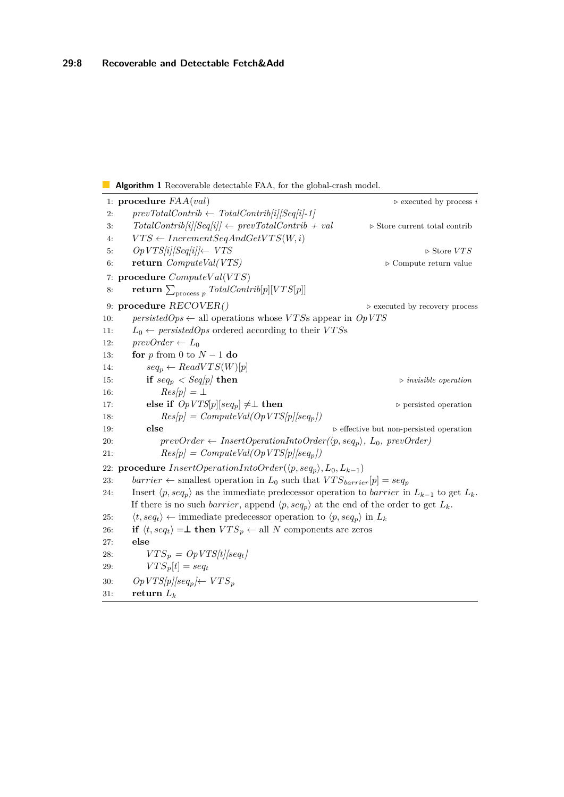## <span id="page-7-0"></span>**Algorithm 1** Recoverable detectable FAA, for the global-crash model.

```
1: procedure FAA(val) ▷ executed by process i
 2: prevTotalContrib \leftarrow TotalContrib[i]/Seq[i]-1]3: TotalContrib[i][Seq[i]] ← prevTotalContrib + val ▷ Store current total contrib
 4: VTS \leftarrow \text{IncrementSeqAndGetVTS}(W, i)5: OpVTS[i][Seq[i]]← VTS ▷ Store V T S
 6: return ComputeVal(VTS) ▷ Compute return value
 7: procedure ComputeV al(V T S)
 8: return \sum_{\text{process } p} \text{TotalContrib}[p][VTS[p]]9: procedure RECOVER() ▷ executed by recovery process
10: persistedOps \leftarrow all operations whose VTSs appear in OpVTS
11: L_0 \leftarrow \text{persisted}Ops ordered according to their VTSs
12: \text{prevOrder} \leftarrow L_013: for p from 0 to N − 1 do
14: seq_p \leftarrow ReadVTS(W)[p]15: if seq_p \, \leq \, \text{Seq}/p \, \text{/} then \triangleright invisible operation
16: Res[p] = \perp17: else if OpVTS[p][seq_p] \neq \perp then \triangleright persisted operation
18: Res[p] = ComputeVal(OpVTS[p][seq_p])19: else ▷ effective but non-persisted operation
20: \text{prevOrder} \leftarrow \text{InsertOperationIntoOrder}(\langle p, \text{seq}_p \rangle, L_0, \text{prevOrder})21: Res[p] = ComputeVal(OpVTS[p][seq_p])22: procedure InsertOperationIntoOrder(\langle p, seq_p \rangle, L_0, L_{k-1})23: barrier \leftarrow smallest operation in L_0 such that VTS_{barrier}[p] = seq_p24: Insert \langle p, \text{seq}_p \rangle as the immediate predecessor operation to barrier in L_{k-1} to get L_k.
      If there is no such barrier, append \langle p, \text{seq}_p \rangle at the end of the order to get L_k.
25: \langle t, \text{seq}_t \rangle \leftarrow \text{immediate predecessor operation to } \langle p, \text{seq}_p \rangle \text{ in } L_k26: if \langle t, seq_t \rangle = \perp then VTS_p \leftarrow all N components are zeros
27: else
28: VTS_p = OpVTS[t][seq_t]29: VTS_p[t] = seq_t30: Op VTS[p][seq_p] \leftarrow VTS_p31: return L_k
```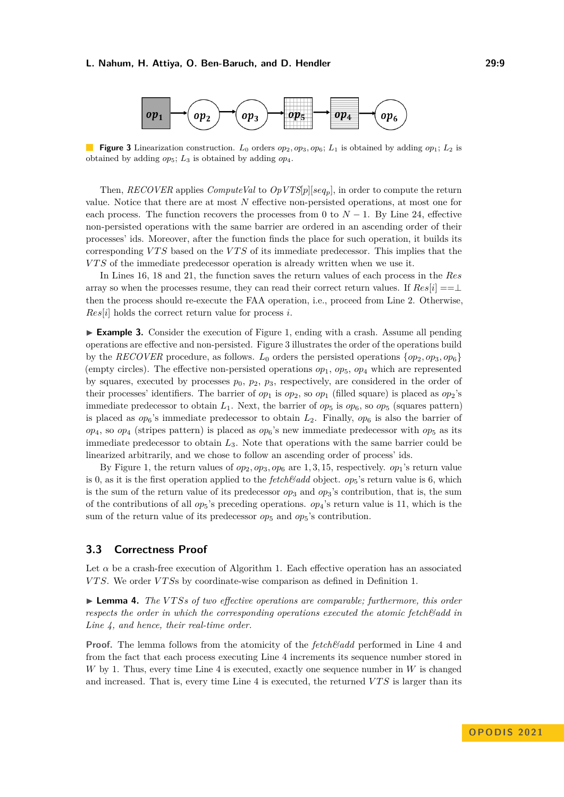<span id="page-8-0"></span>

**Figure 3** Linearization construction.  $L_0$  orders  $op_2, op_3, op_6$ ;  $L_1$  is obtained by adding  $op_1$ ;  $L_2$  is obtained by adding  $op_5$ ;  $L_3$  is obtained by adding  $op_4$ .

Then, *RECOVER* applies *ComputeVal* to *OpVTS*[*p*][*seqp*], in order to compute the return value. Notice that there are at most *N* effective non-persisted operations, at most one for each process. The function recovers the processes from 0 to  $N-1$ . By Line [24,](#page-7-0) effective non-persisted operations with the same barrier are ordered in an ascending order of their processes' ids. Moreover, after the function finds the place for such operation, it builds its corresponding *V T S* based on the *V T S* of its immediate predecessor. This implies that the *V T S* of the immediate predecessor operation is already written when we use it.

In Lines [16, 18](#page-7-0) and [21,](#page-7-0) the function saves the return values of each process in the *Res* array so when the processes resume, they can read their correct return values. If  $Res[i] == \perp$ then the process should re-execute the FAA operation, i.e., proceed from Line [2.](#page-7-0) Otherwise, *Res*[*i*] holds the correct return value for process *i*.

▶ **Example 3.** Consider the execution of Figure [1,](#page-4-0) ending with a crash. Assume all pending operations are effective and non-persisted. Figure [3](#page-8-0) illustrates the order of the operations build by the *RECOVER* procedure, as follows.  $L_0$  orders the persisted operations  $\{op_2, op_3, op_6\}$ (empty circles). The effective non-persisted operations  $op_1$ ,  $op_5$ ,  $op_4$  which are represented by squares, executed by processes  $p_0$ ,  $p_2$ ,  $p_3$ , respectively, are considered in the order of their processes' identifiers. The barrier of  $op_1$  is  $op_2$ , so  $op_1$  (filled square) is placed as  $op_2$ 's immediate predecessor to obtain  $L_1$ . Next, the barrier of  $op_5$  is  $op_6$ , so  $op_5$  (squares pattern) is placed as  $op_6$ 's immediate predecessor to obtain  $L_2$ . Finally,  $op_6$  is also the barrier of  $op_4$ , so  $op_4$  (stripes pattern) is placed as  $op_6$ 's new immediate predecessor with  $op_5$  as its immediate predecessor to obtain *L*3. Note that operations with the same barrier could be linearized arbitrarily, and we chose to follow an ascending order of process' ids.

By Figure [1,](#page-4-0) the return values of  $op_2$ ,  $op_3$ ,  $op_6$  are 1, 3, 15, respectively.  $op_1$ 's return value is 0, as it is the first operation applied to the *fetch&add* object. *op*5's return value is 6, which is the sum of the return value of its predecessor  $op_3$  and  $op_3$ 's contribution, that is, the sum of the contributions of all  $op_5$ 's preceding operations.  $op_4$ 's return value is 11, which is the sum of the return value of its predecessor  $op_5$  and  $op_5$ 's contribution.

## <span id="page-8-1"></span>**3.3 Correctness Proof**

Let  $\alpha$  be a crash-free execution of Algorithm [1.](#page-7-0) Each effective operation has an associated *V T S*. We order *V T S*s by coordinate-wise comparison as defined in Definition [1.](#page-5-2)

▶ **Lemma 4.** *The VTSs of two effective operations are comparable; furthermore, this order respects the order in which the corresponding operations executed the atomic fetch&add in Line [4,](#page-7-0) and hence, their real-time order.*

**Proof.** The lemma follows from the atomicity of the *fetch&add* performed in Line [4](#page-7-0) and from the fact that each process executing Line [4](#page-7-0) increments its sequence number stored in *W* by 1. Thus, every time Line [4](#page-7-0) is executed, exactly one sequence number in *W* is changed and increased. That is, every time Line [4](#page-7-0) is executed, the returned *VTS* is larger than its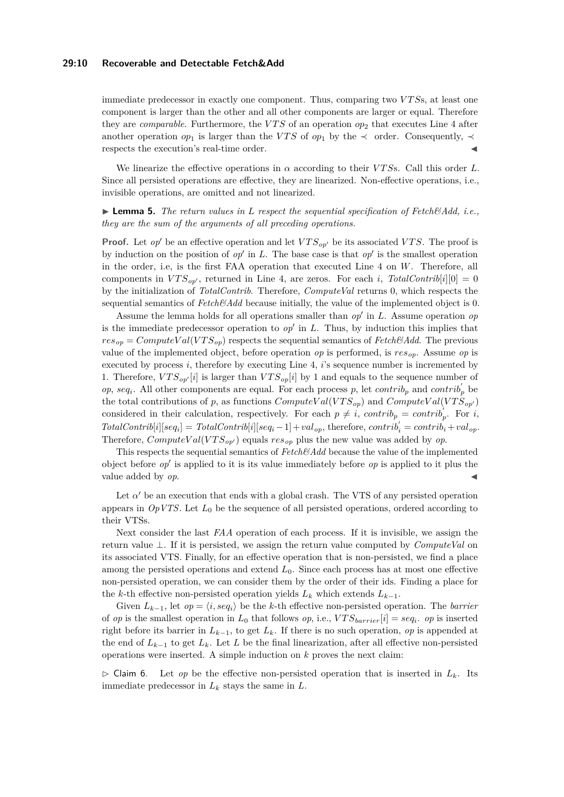## **29:10 Recoverable and Detectable Fetch&Add**

immediate predecessor in exactly one component. Thus, comparing two *V T S*s, at least one component is larger than the other and all other components are larger or equal. Therefore they are *comparable*. Furthermore, the *V T S* of an operation *op*<sup>2</sup> that executes Line [4](#page-7-0) after another operation  $op_1$  is larger than the *VTS* of  $op_1$  by the  $\prec$  order. Consequently,  $\prec$ respects the execution's real-time order.

We linearize the effective operations in  $\alpha$  according to their *VTSs*. Call this order *L*. Since all persisted operations are effective, they are linearized. Non-effective operations, i.e., invisible operations, are omitted and not linearized.

## ▶ **Lemma 5.** *The return values in L respect the sequential specification of Fetch&Add, i.e., they are the sum of the arguments of all preceding operations.*

**Proof.** Let *op*' be an effective operation and let  $VTS_{op}$  be its associated *VTS*. The proof is by induction on the position of  $op'$  in  $L$ . The base case is that  $op'$  is the smallest operation in the order, i.e, is the first FAA operation that executed Line [4](#page-7-0) on *W*. Therefore, all components in  $VTS_{op'}$ , returned in Line [4,](#page-7-0) are zeros. For each *i*, *TotalContrib*[*i*][0] = 0 by the initialization of *TotalContrib*. Therefore, *ComputeVal* returns 0, which respects the sequential semantics of  $Fetch\&Add$  because initially, the value of the implemented object is 0.

Assume the lemma holds for all operations smaller than *op*′ in *L*. Assume operation *op* is the immediate predecessor operation to  $op'$  in  $L$ . Thus, by induction this implies that  $res_{op} = ComputeVal(VTS_{op})$  respects the sequential semantics of *Fetch&Add*. The previous value of the implemented object, before operation *op* is performed, is *resop*. Assume *op* is executed by process *i*, therefore by executing Line [4,](#page-7-0) *i*'s sequence number is incremented by 1. Therefore,  $VTS_{op'}[i]$  is larger than  $VTS_{op}[i]$  by 1 and equals to the sequence number of *op*, *seq<sub>i</sub>*. All other components are equal. For each process *p*, let *contrib<sub>p</sub>* and *contrib*<sup>'</sup><sub>p</sub><sup>'</sup> be the total contributions of *p*, as functions  $ComputeVal(VTS_{op})$  and  $ComputeVal(VTS_{op})$ considered in their calculation, respectively. For each  $p \neq i$ ,  $contrib<sub>p</sub> = contrib<sub>p</sub>'$ . For *i*,  $TotalContrib[i][seq_i] = TotalContrib[i][seq_i - 1] + val_{op}$ , therefore,  $contrib'_i = contrib_i + val_{op}$ . Therefore,  $ComputeVal(VTS_{op'})$  equals  $res_{op}$  plus the new value was added by *op*.

This respects the sequential semantics of *Fetch&Add* because the value of the implemented object before *op*′ is applied to it is its value immediately before *op* is applied to it plus the value added by *op*.

Let  $\alpha'$  be an execution that ends with a global crash. The VTS of any persisted operation appears in  $OpVTS$ . Let  $L_0$  be the sequence of all persisted operations, ordered according to their VTSs.

Next consider the last *FAA* operation of each process. If it is invisible, we assign the return value ⊥. If it is persisted, we assign the return value computed by *ComputeVal* on its associated VTS. Finally, for an effective operation that is non-persisted, we find a place among the persisted operations and extend *L*0. Since each process has at most one effective non-persisted operation, we can consider them by the order of their ids. Finding a place for the *k*-th effective non-persisted operation yields  $L_k$  which extends  $L_{k-1}$ .

Given  $L_{k-1}$ , let  $op = \langle i, seq_i \rangle$  be the *k*-th effective non-persisted operation. The *barrier* of *op* is the smallest operation in  $L_0$  that follows *op*, i.e.,  $VTS_{barrier}[i] = seq_i$ . *op* is inserted right before its barrier in  $L_{k-1}$ , to get  $L_k$ . If there is no such operation, *op* is appended at the end of  $L_{k-1}$  to get  $L_k$ . Let  $L$  be the final linearization, after all effective non-persisted operations were inserted. A simple induction on *k* proves the next claim:

<span id="page-9-0"></span> $\triangleright$  Claim 6. Let *op* be the effective non-persisted operation that is inserted in  $L_k$ . Its immediate predecessor in  $L_k$  stays the same in  $L$ .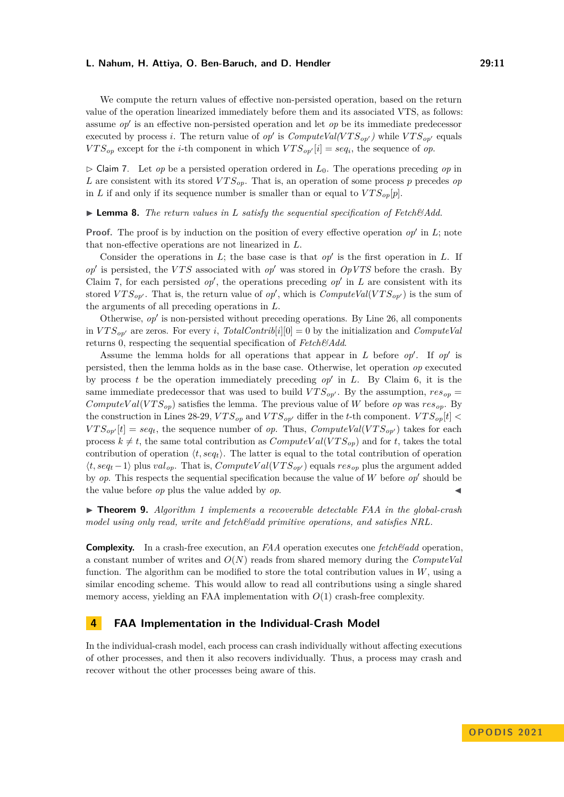We compute the return values of effective non-persisted operation, based on the return value of the operation linearized immediately before them and its associated VTS, as follows: assume *op*′ is an effective non-persisted operation and let *op* be its immediate predecessor executed by process *i*. The return value of *op'* is  $ComputeVal(VTS_{op'})$  while  $VTS_{op'}$  equals *VTS*<sub>op</sub> except for the *i*-th component in which  $VTS_{op'}[i] = seq_i$ , the sequence of *op*.

<span id="page-10-0"></span>▷ Claim 7. Let *op* be a persisted operation ordered in *L*0. The operations preceding *op* in L are consistent with its stored  $VTS_{op}$ . That is, an operation of some process p precedes op in *L* if and only if its sequence number is smaller than or equal to  $VTS_{op}[p]$ .

▶ **Lemma 8.** *The return values in L satisfy the sequential specification of Fetch&Add.*

**Proof.** The proof is by induction on the position of every effective operation *op'* in *L*; note that non-effective operations are not linearized in *L*.

Consider the operations in  $L$ ; the base case is that  $op'$  is the first operation in  $L$ . If *op*′ is persisted, the *V T S* associated with *op*′ was stored in *OpVTS* before the crash. By Claim [7,](#page-10-0) for each persisted  $op'$ , the operations preceding  $op'$  in  $L$  are consistent with its stored  $VTS_{op'}$ . That is, the return value of *op'*, which is  $ComputeVal(VTS_{op'})$  is the sum of the arguments of all preceding operations in *L*.

Otherwise, *op*′ is non-persisted without preceding operations. By Line [26,](#page-7-0) all components in  $VTS_{op'}$  are zeros. For every *i*, *TotalContrib*[*i*][0] = 0 by the initialization and *ComputeVal* returns 0, respecting the sequential specification of *Fetch&Add*.

Assume the lemma holds for all operations that appear in *L* before *op*′ . If *op*′ is persisted, then the lemma holds as in the base case. Otherwise, let operation *op* executed by process *t* be the operation immediately preceding *op*′ in *L*. By Claim [6,](#page-9-0) it is the same immediate predecessor that was used to build  $VTS_{or'}$ . By the assumption,  $res_{on}$ *ComputeVal*( $VTS_{op}$ ) satisfies the lemma. The previous value of *W* before *op* was  $res_{op}$ . By the construction in Lines [28-29,](#page-7-0)  $VTS_{op}$  and  $VTS_{op'}$  differ in the *t*-th component.  $VTS_{op}[t]$  $VTS_{op'}[t] = seq_t$ , the sequence number of *op*. Thus, *ComputeVal*( $VTS_{op'}$ ) takes for each process  $k \neq t$ , the same total contribution as  $ComputeVal(VTS_{op})$  and for *t*, takes the total contribution of operation  $\langle t, seq_t \rangle$ . The latter is equal to the total contribution of operation ⟨*t, seq<sup>t</sup>* −1⟩ plus *valop*. That is, *ComputeV al*(*V T Sop*′ ) equals *resop* plus the argument added by *op*. This respects the sequential specification because the value of *W* before *op*′ should be the value before *op* plus the value added by *op*.

▶ **Theorem 9.** *Algorithm [1](#page-7-0) implements a recoverable detectable FAA in the global-crash model using only read, write and fetch&add primitive operations, and satisfies NRL.*

**Complexity.** In a crash-free execution, an *FAA* operation executes one *fetch&add* operation, a constant number of writes and *O*(*N*) reads from shared memory during the *ComputeVal* function. The algorithm can be modified to store the total contribution values in *W*, using a similar encoding scheme. This would allow to read all contributions using a single shared memory access, yielding an FAA implementation with *O*(1) crash-free complexity.

## **4 FAA Implementation in the Individual-Crash Model**

In the individual-crash model, each process can crash individually without affecting executions of other processes, and then it also recovers individually. Thus, a process may crash and recover without the other processes being aware of this.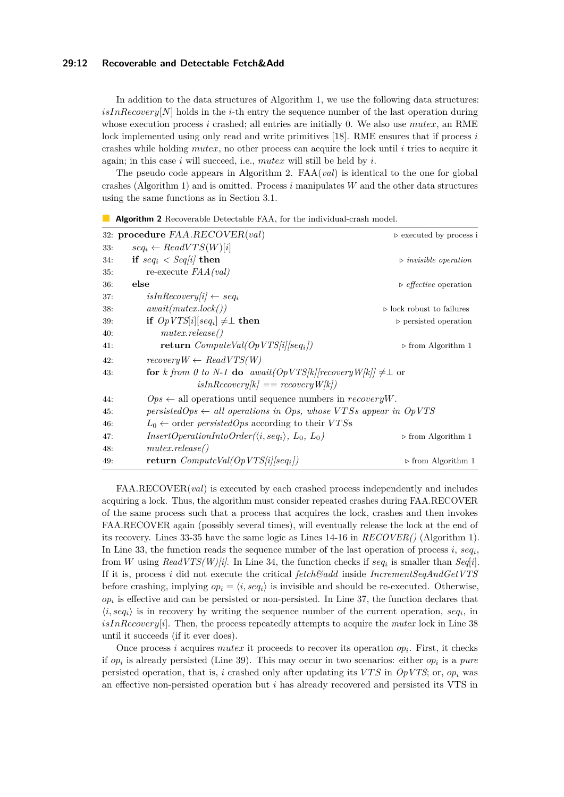## **29:12 Recoverable and Detectable Fetch&Add**

In addition to the data structures of Algorithm [1,](#page-7-0) we use the following data structures:  $isIn Recovery[N]$  holds in the *i*-th entry the sequence number of the last operation during whose execution process *i* crashed; all entries are initially 0. We also use *mutex*, an RME lock implemented using only read and write primitives [\[18\]](#page-15-7). RME ensures that if process *i* crashes while holding *mutex*, no other process can acquire the lock until *i* tries to acquire it again; in this case *i* will succeed, i.e., *mutex* will still be held by *i*.

The pseudo code appears in Algorithm [2.](#page-11-0) FAA(*val*) is identical to the one for global crashes (Algorithm [1\)](#page-7-0) and is omitted. Process *i* manipulates *W* and the other data structures using the same functions as in Section [3.1.](#page-4-1)

|     | 32: procedure $FAA.$ RECOVER $\left( val\right)$                             | $\triangleright$ executed by process i      |
|-----|------------------------------------------------------------------------------|---------------------------------------------|
| 33: | $seq_i \leftarrow ReadVTS(W)[i]$                                             |                                             |
| 34: | if $seq_i < Seq/i$ then                                                      | $\triangleright$ invisible operation        |
| 35: | re-execute $FAA(val)$                                                        |                                             |
| 36: | else                                                                         | $\triangleright$ <i>effective</i> operation |
| 37: | $isIn Recovery[i] \leftarrow seq_i$                                          |                                             |
| 38: | a wait(mutes. lock())                                                        | $\triangleright$ lock robust to failures    |
| 39: | if $OpVTS[i][seq_i] \neq \perp$ then                                         | $\triangleright$ persisted operation        |
| 40: | mutex. release()                                                             |                                             |
| 41: | <b>return</b> $ComputeVal(OpVTS[i][seq_i])$                                  | $\triangleright$ from Algorithm 1           |
| 42: | $recoveryW \leftarrow ReadVTS(W)$                                            |                                             |
| 43: | for k from 0 to N-1 do await( $OpVTS[k]/recovers[W[k]] \neq \perp$ or        |                                             |
|     | $isIn Recovery/k$ = $recoveryW/k$ )                                          |                                             |
| 44: | $Ops \leftarrow$ all operations until sequence numbers in <i>recovery</i> W. |                                             |
| 45: | persisted Ops $\leftarrow$ all operations in Ops, whose VTSs appear in OpVTS |                                             |
| 46: | $L_0 \leftarrow$ order <i>persistedOps</i> according to their VTSs           |                                             |
| 47: | $InsertOperationIntoOrder(\langle i, seq_i \rangle, L_0, L_0)$               | $\triangleright$ from Algorithm 1           |
| 48: | mutex. release()                                                             |                                             |
| 49: | <b>return</b> $ComputeVal(OpVTS[i][seq_i])$                                  | $\triangleright$ from Algorithm 1           |

<span id="page-11-0"></span>

|  |  | <b>Algorithm 2</b> Recoverable Detectable FAA, for the individual-crash model. |  |  |  |  |  |  |
|--|--|--------------------------------------------------------------------------------|--|--|--|--|--|--|
|--|--|--------------------------------------------------------------------------------|--|--|--|--|--|--|

FAA.RECOVER(*val*) is executed by each crashed process independently and includes acquiring a lock. Thus, the algorithm must consider repeated crashes during FAA.RECOVER of the same process such that a process that acquires the lock, crashes and then invokes FAA.RECOVER again (possibly several times), will eventually release the lock at the end of its recovery. Lines [33-35](#page-11-0) have the same logic as Lines [14-16](#page-7-0) in *RECOVER()* (Algorithm [1\)](#page-7-0). In Line [33,](#page-11-0) the function reads the sequence number of the last operation of process *i*, *seq<sup>i</sup>* , from *W* using *ReadVTS(W)[i]*. In Line [34,](#page-11-0) the function checks if *seq<sup>i</sup>* is smaller than *Seq*[*i*]. If it is, process *i* did not execute the critical *fetch&add* inside *IncrementSeqAndGetVTS* before crashing, implying  $op_i = \langle i, seq_i \rangle$  is invisible and should be re-executed. Otherwise,  $op_i$  is effective and can be persisted or non-persisted. In Line [37,](#page-11-0) the function declares that  $\langle i, seq_i \rangle$  is in recovery by writing the sequence number of the current operation,  $seq_i$ , in *isInRecovery*[*i*]. Then, the process repeatedly attempts to acquire the *mutex* lock in Line [38](#page-11-0) until it succeeds (if it ever does).

Once process *i* acquires *mutex* it proceeds to recover its operation  $op_i$ . First, it checks if *op<sup>i</sup>* is already persisted (Line [39\)](#page-11-0). This may occur in two scenarios: either *op<sup>i</sup>* is a *pure* persisted operation, that is, *i* crashed only after updating its *V T S* in *OpVTS*; or, *op<sup>i</sup>* was an effective non-persisted operation but *i* has already recovered and persisted its VTS in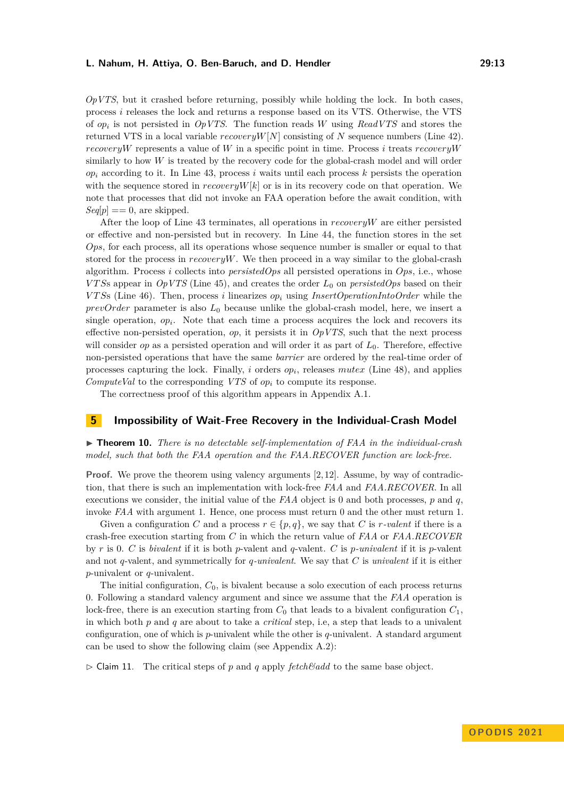*OpVTS*, but it crashed before returning, possibly while holding the lock. In both cases, process *i* releases the lock and returns a response based on its VTS. Otherwise, the VTS of *op<sup>i</sup>* is not persisted in *OpVTS*. The function reads *W* using *ReadVTS* and stores the returned VTS in a local variable *recoveryW*[*N*] consisting of *N* sequence numbers (Line [42\)](#page-11-0). *recoveryW* represents a value of *W* in a specific point in time. Process *i* treats *recoveryW* similarly to how  $W$  is treated by the recovery code for the global-crash model and will order  $op_i$  according to it. In Line [43,](#page-11-0) process *i* waits until each process  $k$  persists the operation with the sequence stored in  $recoveryW[k]$  or is in its recovery code on that operation. We note that processes that did not invoke an FAA operation before the await condition, with  $Seq[p] == 0$ , are skipped.

After the loop of Line [43](#page-11-0) terminates, all operations in *recoveryW* are either persisted or effective and non-persisted but in recovery. In Line [44,](#page-11-0) the function stores in the set *Ops*, for each process, all its operations whose sequence number is smaller or equal to that stored for the process in  $recovery$ . We then proceed in a way similar to the global-crash algorithm. Process *i* collects into *persistedOps* all persisted operations in *Ops*, i.e., whose *V T S*s appear in *OpVTS* (Line [45\)](#page-11-0), and creates the order *L*<sup>0</sup> on *persistedOps* based on their *V T S*s (Line [46\)](#page-11-0). Then, process *i* linearizes *op<sup>i</sup>* using *InsertOperationIntoOrder* while the *prevOrder* parameter is also *L*<sup>0</sup> because unlike the global-crash model, here, we insert a single operation,  $op_i$ . Note that each time a process acquires the lock and recovers its effective non-persisted operation, *op*, it persists it in *OpVTS*, such that the next process will consider *op* as a persisted operation and will order it as part of  $L_0$ . Therefore, effective non-persisted operations that have the same *barrier* are ordered by the real-time order of processes capturing the lock. Finally, *i* orders *op<sup>i</sup>* , releases *mutex* (Line [48\)](#page-11-0), and applies *ComputeVal* to the corresponding *VTS* of *op<sup>i</sup>* to compute its response.

The correctness proof of this algorithm appears in Appendix [A.1.](#page-15-12)

## **5 Impossibility of Wait-Free Recovery in the Individual-Crash Model**

<span id="page-12-0"></span>▶ **Theorem 10.** *There is no detectable self-implementation of FAA in the individual-crash model, such that both the FAA operation and the FAA.RECOVER function are lock-free.*

**Proof.** We prove the theorem using valency arguments [\[2,](#page-14-9) [12\]](#page-14-16). Assume, by way of contradiction, that there is such an implementation with lock-free *FAA* and *FAA.RECOVER*. In all executions we consider, the initial value of the *FAA* object is 0 and both processes, *p* and *q*, invoke *FAA* with argument 1. Hence, one process must return 0 and the other must return 1.

Given a configuration *C* and a process  $r \in \{p, q\}$ , we say that *C* is *r*-valent if there is a crash-free execution starting from *C* in which the return value of *FAA* or *FAA.RECOVER* by *r* is 0. *C* is *bivalent* if it is both *p*-valent and *q*-valent. *C* is *p-univalent* if it is *p*-valent and not *q*-valent, and symmetrically for *q-univalent*. We say that *C* is *univalent* if it is either *p*-univalent or *q*-univalent.

The initial configuration,  $C_0$ , is bivalent because a solo execution of each process returns 0. Following a standard valency argument and since we assume that the *FAA* operation is lock-free, there is an execution starting from  $C_0$  that leads to a bivalent configuration  $C_1$ , in which both *p* and *q* are about to take a *critical* step, i.e, a step that leads to a univalent configuration, one of which is *p*-univalent while the other is *q*-univalent. A standard argument can be used to show the following claim (see Appendix [A.2\)](#page-16-0):

<span id="page-12-1"></span> $\triangleright$  Claim 11. The critical steps of p and q apply *fetch*&dd to the same base object.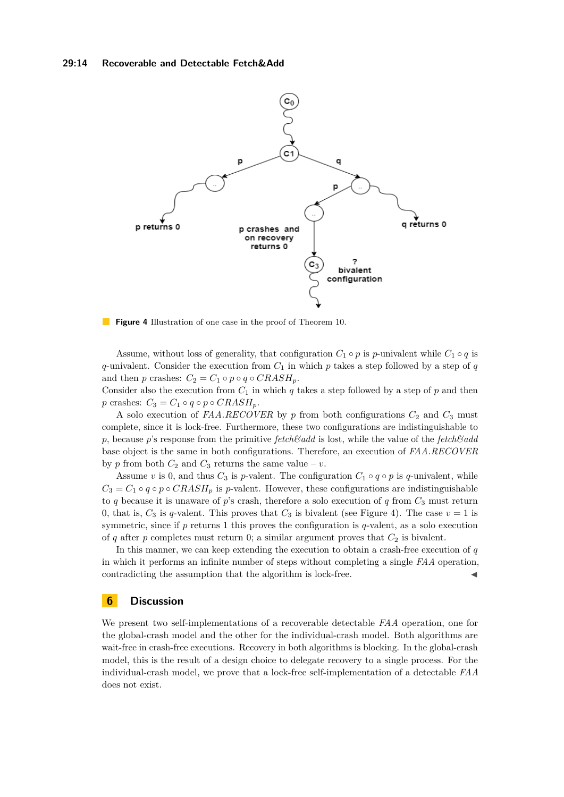<span id="page-13-0"></span>

**Figure 4** Illustration of one case in the proof of Theorem [10.](#page-12-0)

Assume, without loss of generality, that configuration  $C_1 \circ p$  is *p*-univalent while  $C_1 \circ q$  is *q*-univalent. Consider the execution from  $C_1$  in which  $p$  takes a step followed by a step of  $q$ and then *p* crashes:  $C_2 = C_1 \circ p \circ q \circ CRASH_p$ .

Consider also the execution from  $C_1$  in which  $q$  takes a step followed by a step of  $p$  and then  $p$  crashes:  $C_3 = C_1 \circ q \circ p \circ CRASH_p$ .

A solo execution of  $FAA \cdot RECOVER$  by  $p$  from both configurations  $C_2$  and  $C_3$  must complete, since it is lock-free. Furthermore, these two configurations are indistinguishable to *p*, because *p*'s response from the primitive *fetch&add* is lost, while the value of the *fetch&add* base object is the same in both configurations. Therefore, an execution of *FAA.RECOVER* by *p* from both  $C_2$  and  $C_3$  returns the same value – *v*.

Assume *v* is 0, and thus  $C_3$  is *p*-valent. The configuration  $C_1 \circ q \circ p$  is *q*-univalent, while  $C_3 = C_1 \circ q \circ p \circ CRASH_p$  is *p*-valent. However, these configurations are indistinguishable to  $q$  because it is unaware of  $p$ 's crash, therefore a solo execution of  $q$  from  $C_3$  must return 0, that is,  $C_3$  is *q*-valent. This proves that  $C_3$  is bivalent (see Figure [4\)](#page-13-0). The case  $v = 1$  is symmetric, since if *p* returns 1 this proves the configuration is *q*-valent, as a solo execution of  $q$  after  $p$  completes must return 0; a similar argument proves that  $C_2$  is bivalent.

In this manner, we can keep extending the execution to obtain a crash-free execution of *q* in which it performs an infinite number of steps without completing a single *FAA* operation, contradicting the assumption that the algorithm is lock-free.

## **6 Discussion**

We present two self-implementations of a recoverable detectable *FAA* operation, one for the global-crash model and the other for the individual-crash model. Both algorithms are wait-free in crash-free executions. Recovery in both algorithms is blocking. In the global-crash model, this is the result of a design choice to delegate recovery to a single process. For the individual-crash model, we prove that a lock-free self-implementation of a detectable *FAA* does not exist.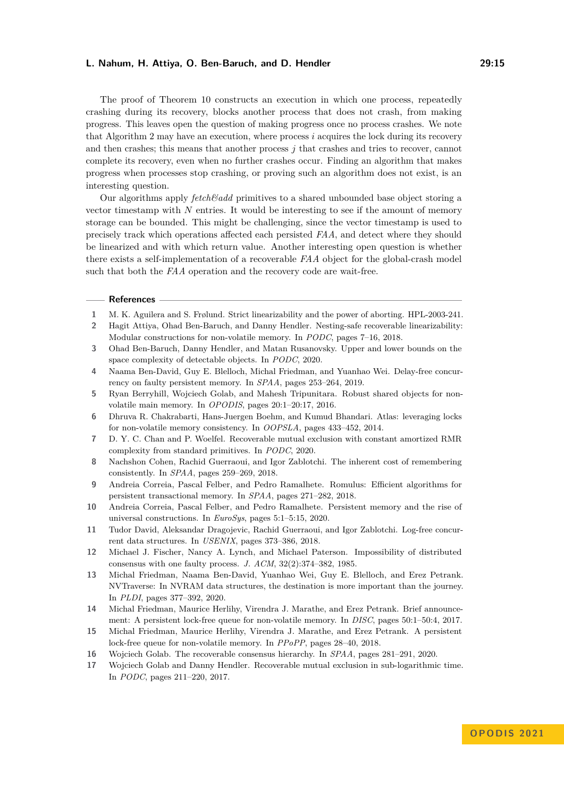The proof of Theorem [10](#page-12-0) constructs an execution in which one process, repeatedly crashing during its recovery, blocks another process that does not crash, from making progress. This leaves open the question of making progress once no process crashes. We note that Algorithm [2](#page-11-0) may have an execution, where process *i* acquires the lock during its recovery and then crashes; this means that another process *j* that crashes and tries to recover, cannot complete its recovery, even when no further crashes occur. Finding an algorithm that makes progress when processes stop crashing, or proving such an algorithm does not exist, is an interesting question.

Our algorithms apply *fetch&add* primitives to a shared unbounded base object storing a vector timestamp with *N* entries. It would be interesting to see if the amount of memory storage can be bounded. This might be challenging, since the vector timestamp is used to precisely track which operations affected each persisted *FAA*, and detect where they should be linearized and with which return value. Another interesting open question is whether there exists a self-implementation of a recoverable *FAA* object for the global-crash model such that both the *FAA* operation and the recovery code are wait-free.

#### **References**

- <span id="page-14-12"></span>**1** M. K. Aguilera and S. Frølund. Strict linearizability and the power of aborting. HPL-2003-241.
- <span id="page-14-9"></span>**2** Hagit Attiya, Ohad Ben-Baruch, and Danny Hendler. Nesting-safe recoverable linearizability: Modular constructions for non-volatile memory. In *PODC*, pages 7–16, 2018.
- <span id="page-14-15"></span>**3** Ohad Ben-Baruch, Danny Hendler, and Matan Rusanovsky. Upper and lower bounds on the space complexity of detectable objects. In *PODC*, 2020.
- <span id="page-14-6"></span>**4** Naama Ben-David, Guy E. Blelloch, Michal Friedman, and Yuanhao Wei. Delay-free concurrency on faulty persistent memory. In *SPAA*, pages 253–264, 2019.
- <span id="page-14-3"></span>**5** Ryan Berryhill, Wojciech Golab, and Mahesh Tripunitara. Robust shared objects for nonvolatile main memory. In *OPODIS*, pages 20:1–20:17, 2016.
- <span id="page-14-1"></span>**6** Dhruva R. Chakrabarti, Hans-Juergen Boehm, and Kumud Bhandari. Atlas: leveraging locks for non-volatile memory consistency. In *OOPSLA*, pages 433–452, 2014.
- <span id="page-14-14"></span>**7** D. Y. C. Chan and P. Woelfel. Recoverable mutual exclusion with constant amortized RMR complexity from standard primitives. In *PODC*, 2020.
- <span id="page-14-4"></span>**8** Nachshon Cohen, Rachid Guerraoui, and Igor Zablotchi. The inherent cost of remembering consistently. In *SPAA*, pages 259–269, 2018.
- <span id="page-14-2"></span>**9** Andreia Correia, Pascal Felber, and Pedro Ramalhete. Romulus: Efficient algorithms for persistent transactional memory. In *SPAA*, pages 271–282, 2018.
- <span id="page-14-5"></span>**10** Andreia Correia, Pascal Felber, and Pedro Ramalhete. Persistent memory and the rise of universal constructions. In *EuroSys*, pages 5:1–5:15, 2020.
- <span id="page-14-7"></span>**11** Tudor David, Aleksandar Dragojevic, Rachid Guerraoui, and Igor Zablotchi. Log-free concurrent data structures. In *USENIX*, pages 373–386, 2018.
- <span id="page-14-16"></span>**12** Michael J. Fischer, Nancy A. Lynch, and Michael Paterson. Impossibility of distributed consensus with one faulty process. *J. ACM*, 32(2):374–382, 1985.
- <span id="page-14-8"></span>**13** Michal Friedman, Naama Ben-David, Yuanhao Wei, Guy E. Blelloch, and Erez Petrank. NVTraverse: In NVRAM data structures, the destination is more important than the journey. In *PLDI*, pages 377–392, 2020.
- <span id="page-14-10"></span>**14** Michal Friedman, Maurice Herlihy, Virendra J. Marathe, and Erez Petrank. Brief announcement: A persistent lock-free queue for non-volatile memory. In *DISC*, pages 50:1–50:4, 2017.
- <span id="page-14-0"></span>**15** Michal Friedman, Maurice Herlihy, Virendra J. Marathe, and Erez Petrank. A persistent lock-free queue for non-volatile memory. In *PPoPP*, pages 28–40, 2018.
- <span id="page-14-11"></span>**16** Wojciech Golab. The recoverable consensus hierarchy. In *SPAA*, pages 281–291, 2020.
- <span id="page-14-13"></span>**17** Wojciech Golab and Danny Hendler. Recoverable mutual exclusion in sub-logarithmic time. In *PODC*, pages 211–220, 2017.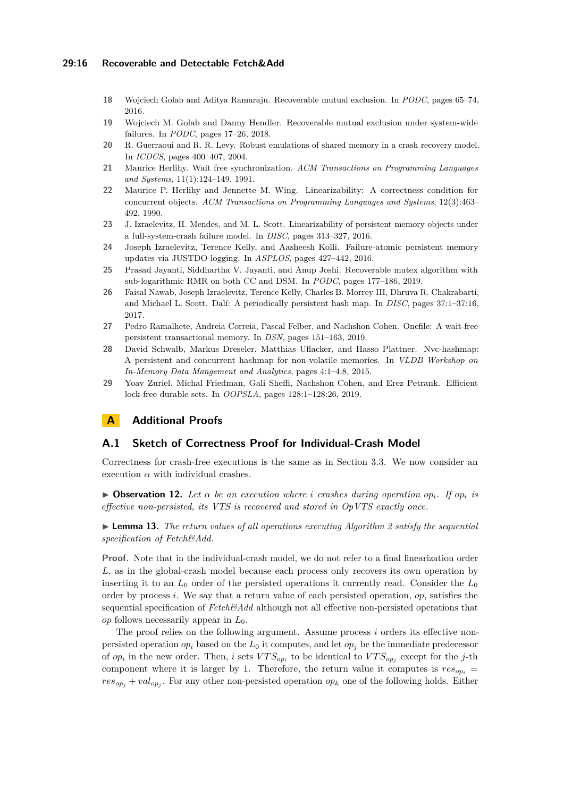## **29:16 Recoverable and Detectable Fetch&Add**

- <span id="page-15-7"></span>**18** Wojciech Golab and Aditya Ramaraju. Recoverable mutual exclusion. In *PODC*, pages 65–74, 2016.
- <span id="page-15-9"></span>**19** Wojciech M. Golab and Danny Hendler. Recoverable mutual exclusion under system-wide failures. In *PODC*, pages 17–26, 2018.
- <span id="page-15-6"></span>**20** R. Guerraoui and R. R. Levy. Robust emulations of shared memory in a crash recovery model. In *ICDCS*, pages 400–407, 2004.
- <span id="page-15-5"></span>**21** Maurice Herlihy. Wait free synchronization. *ACM Transactions on Programming Languages and Systems*, 11(1):124–149, 1991.
- <span id="page-15-11"></span>**22** Maurice P. Herlihy and Jennette M. Wing. Linearizability: A correctness condition for concurrent objects. *ACM Transactions on Programming Languages and Systems*, 12(3):463– 492, 1990.
- <span id="page-15-10"></span>**23** J. Izraelevitz, H. Mendes, and M. L. Scott. Linearizability of persistent memory objects under a full-system-crash failure model. In *DISC*, pages 313–327, 2016.
- <span id="page-15-3"></span>**24** Joseph Izraelevitz, Terence Kelly, and Aasheesh Kolli. Failure-atomic persistent memory updates via JUSTDO logging. In *ASPLOS*, pages 427–442, 2016.
- <span id="page-15-8"></span>**25** Prasad Jayanti, Siddhartha V. Jayanti, and Anup Joshi. Recoverable mutex algorithm with sub-logarithmic RMR on both CC and DSM. In *PODC*, pages 177–186, 2019.
- <span id="page-15-0"></span>**26** Faisal Nawab, Joseph Izraelevitz, Terence Kelly, Charles B. Morrey III, Dhruva R. Chakrabarti, and Michael L. Scott. Dalí: A periodically persistent hash map. In *DISC*, pages 37:1–37:16, 2017.
- <span id="page-15-4"></span>**27** Pedro Ramalhete, Andreia Correia, Pascal Felber, and Nachshon Cohen. Onefile: A wait-free persistent transactional memory. In *DSN*, pages 151–163, 2019.
- <span id="page-15-1"></span>**28** David Schwalb, Markus Dreseler, Matthias Uflacker, and Hasso Plattner. Nvc-hashmap: A persistent and concurrent hashmap for non-volatile memories. In *VLDB Workshop on In-Memory Data Mangement and Analytics*, pages 4:1–4:8, 2015.
- <span id="page-15-2"></span>**29** Yoav Zuriel, Michal Friedman, Gali Sheffi, Nachshon Cohen, and Erez Petrank. Efficient lock-free durable sets. In *OOPSLA*, pages 128:1–128:26, 2019.

# **A Additional Proofs**

## <span id="page-15-12"></span>**A.1 Sketch of Correctness Proof for Individual-Crash Model**

Correctness for crash-free executions is the same as in Section [3.3.](#page-8-1) We now consider an execution  $\alpha$  with individual crashes.

 $\triangleright$  **Observation 12.** Let  $\alpha$  be an execution where *i* crashes during operation op<sub>*i*</sub>. If op<sub>i</sub> is *effective non-persisted, its VTS is recovered and stored in OpVTS exactly once.*

▶ **Lemma 13.** *The return values of all operations executing Algorithm [2](#page-11-0) satisfy the sequential specification of Fetch&Add.*

**Proof.** Note that in the individual-crash model, we do not refer to a final linearization order *L*, as in the global-crash model because each process only recovers its own operation by inserting it to an  $L_0$  order of the persisted operations it currently read. Consider the  $L_0$ order by process *i*. We say that a return value of each persisted operation, *op*, satisfies the sequential specification of *Fetch&Add* although not all effective non-persisted operations that *op* follows necessarily appear in *L*0.

The proof relies on the following argument. Assume process *i* orders its effective nonpersisted operation  $op_i$  based on the  $L_0$  it computes, and let  $op_i$  be the immediate predecessor of  $op_i$  in the new order. Then, *i* sets  $VTS_{op_i}$  to be identical to  $VTS_{op_j}$  except for the *j*-th component where it is larger by 1. Therefore, the return value it computes is  $res_{op_i}$  =  $res_{op_j} + val_{op_j}$ . For any other non-persisted operation  $op_k$  one of the following holds. Either